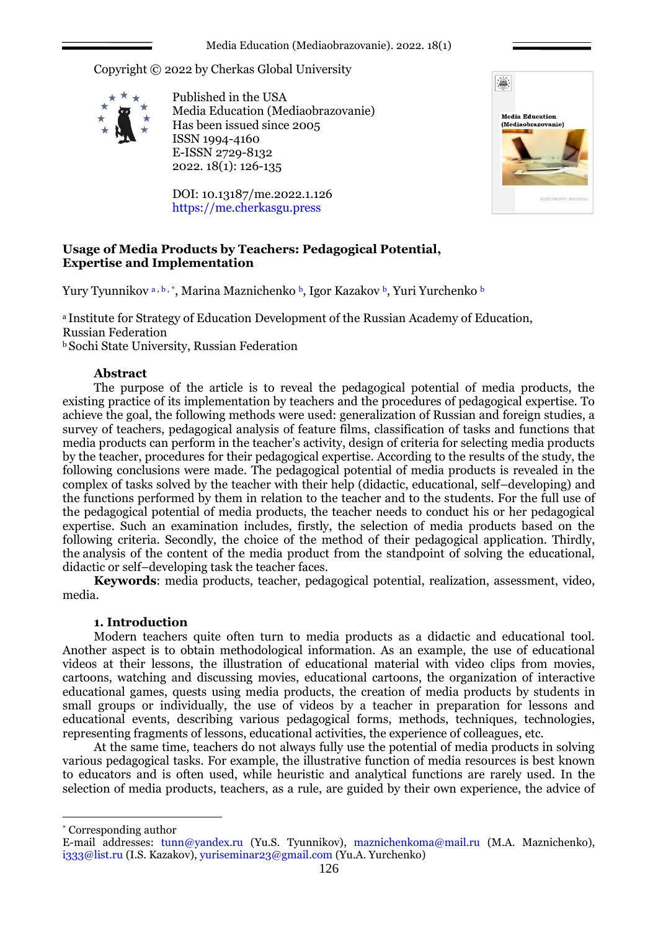Copyright © 2022 by Cherkas Global University



Published in the USA Media Education (Mediaobrazovanie) Has been issued since 2005 ISSN 1994-4160 E-ISSN 2729-8132 2022. 18(1): 126-135

DOI: 10.13187/me.2022.1.126 https://me.cherkasgu.press



# **Usage of Media Products by Teachers: Pedagogical Potential, Expertise and Implementation**

Yury Tyunnikov <sup>a</sup> , b , \* , Marina Maznichenko <sup>b</sup> , Igor Kazakov <sup>b</sup> , Yuri Yurchenko <sup>b</sup>

<sup>а</sup> Institute for Strategy of Education Development of the Russian Academy of Education, Russian Federation **b** Sochi State University, Russian Federation

# **Abstract**

The purpose of the article is to reveal the pedagogical potential of media products, the existing practice of its implementation by teachers and the procedures of pedagogical expertise. To achieve the goal, the following methods were used: generalization of Russian and foreign studies, a survey of teachers, pedagogical analysis of feature films, classification of tasks and functions that media products can perform in the teacher's activity, design of criteria for selecting media products by the teacher, procedures for their pedagogical expertise. According to the results of the study, the following conclusions were made. The pedagogical potential of media products is revealed in the complex of tasks solved by the teacher with their help (didactic, educational, self–developing) and the functions performed by them in relation to the teacher and to the students. For the full use of the pedagogical potential of media products, the teacher needs to conduct his or her pedagogical expertise. Such an examination includes, firstly, the selection of media products based on the following criteria. Secondly, the choice of the method of their pedagogical application. Thirdly, the analysis of the content of the media product from the standpoint of solving the educational, didactic or self–developing task the teacher faces.

**Keywords**: media products, teacher, pedagogical potential, realization, assessment, video, media.

## **1. Introduction**

Modern teachers quite often turn to media products as a didactic and educational tool. Another aspect is to obtain methodological information. As an example, the use of educational videos at their lessons, the illustration of educational material with video clips from movies, cartoons, watching and discussing movies, educational cartoons, the organization of interactive educational games, quests using media products, the creation of media products by students in small groups or individually, the use of videos by a teacher in preparation for lessons and educational events, describing various pedagogical forms, methods, techniques, technologies, representing fragments of lessons, educational activities, the experience of colleagues, etc.

At the same time, teachers do not always fully use the potential of media products in solving various pedagogical tasks. For example, the illustrative function of media resources is best known to educators and is often used, while heuristic and analytical functions are rarely used. In the selection of media products, teachers, as a rule, are guided by their own experience, the advice of

\* Corresponding author

<u>.</u>

E-mail addresses: tunn@yandex.ru (Yu.S. Tyunnikov), maznichenkoma@mail.ru (М.А. Maznichenko), i333@list.ru (I.S. Kazakov), yuriseminar23@gmail.com (Yu.А. Yurchenko)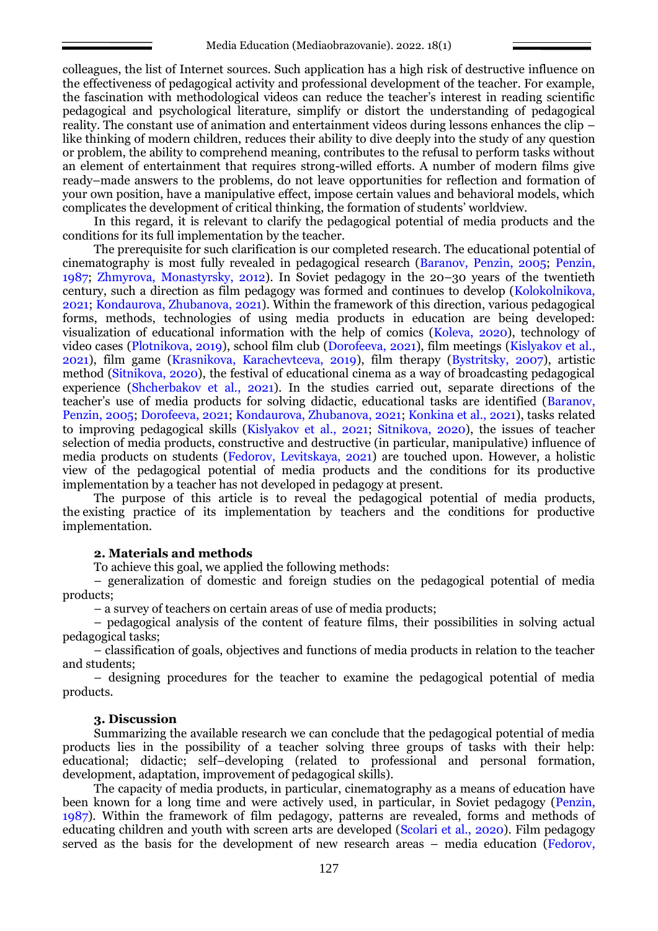colleagues, the list of Internet sources. Such application has a high risk of destructive influence on the effectiveness of pedagogical activity and professional development of the teacher. For example, the fascination with methodological videos can reduce the teacher's interest in reading scientific pedagogical and psychological literature, simplify or distort the understanding of pedagogical reality. The constant use of animation and entertainment videos during lessons enhances the clip – like thinking of modern children, reduces their ability to dive deeply into the study of any question or problem, the ability to comprehend meaning, contributes to the refusal to perform tasks without an element of entertainment that requires strong-willed efforts. A number of modern films give ready–made answers to the problems, do not leave opportunities for reflection and formation of your own position, have a manipulative effect, impose certain values and behavioral models, which complicates the development of critical thinking, the formation of students' worldview.

In this regard, it is relevant to clarify the pedagogical potential of media products and the conditions for its full implementation by the teacher.

The prerequisite for such clarification is our completed research. The educational potential of cinematography is most fully revealed in pedagogical research (Baranov, Penzin, 2005; Penzin, 1987; Zhmyrova, Monastyrsky, 2012). In Soviet pedagogy in the 20–30 years of the twentieth century, such a direction as film pedagogy was formed and continues to develop (Kolokolnikova, 2021; Kondaurova, Zhubanova, 2021). Within the framework of this direction, various pedagogical forms, methods, technologies of using media products in education are being developed: visualization of educational information with the help of comics (Koleva, 2020), technology of video cases (Plotnikova, 2019), school film club (Dorofeeva, 2021), film meetings (Kislyakov et al., 2021), film game (Krasnikova, Karachevtceva, 2019), film therapy (Bystritsky, 2007), artistic method (Sitnikova, 2020), the festival of educational cinema as a way of broadcasting pedagogical experience (Shcherbakov et al., 2021). In the studies carried out, separate directions of the teacher's use of media products for solving didactic, educational tasks are identified (Baranov, Penzin, 2005; Dorofeeva, 2021; Kondaurova, Zhubanova, 2021; Konkina et al., 2021), tasks related to improving pedagogical skills (Kislyakov et al., 2021; Sitnikova, 2020), the issues of teacher selection of media products, constructive and destructive (in particular, manipulative) influence of media products on students (Fedorov, Levitskaya, 2021) are touched upon. However, a holistic view of the pedagogical potential of media products and the conditions for its productive implementation by a teacher has not developed in pedagogy at present.

The purpose of this article is to reveal the pedagogical potential of media products, the existing practice of its implementation by teachers and the conditions for productive implementation.

#### **2. Materials and methods**

To achieve this goal, we applied the following methods:

– generalization of domestic and foreign studies on the pedagogical potential of media products;

– a survey of teachers on certain areas of use of media products;

– pedagogical analysis of the content of feature films, their possibilities in solving actual pedagogical tasks;

– classification of goals, objectives and functions of media products in relation to the teacher and students;

– designing procedures for the teacher to examine the pedagogical potential of media products.

#### **3. Discussion**

Summarizing the available research we can conclude that the pedagogical potential of media products lies in the possibility of a teacher solving three groups of tasks with their help: educational; didactic; self–developing (related to professional and personal formation, development, adaptation, improvement of pedagogical skills).

The capacity of media products, in particular, cinematography as a means of education have been known for a long time and were actively used, in particular, in Soviet pedagogy (Penzin, 1987). Within the framework of film pedagogy, patterns are revealed, forms and methods of educating children and youth with screen arts are developed (Scolari et al., 2020). Film pedagogy served as the basis for the development of new research areas – media education (Fedorov,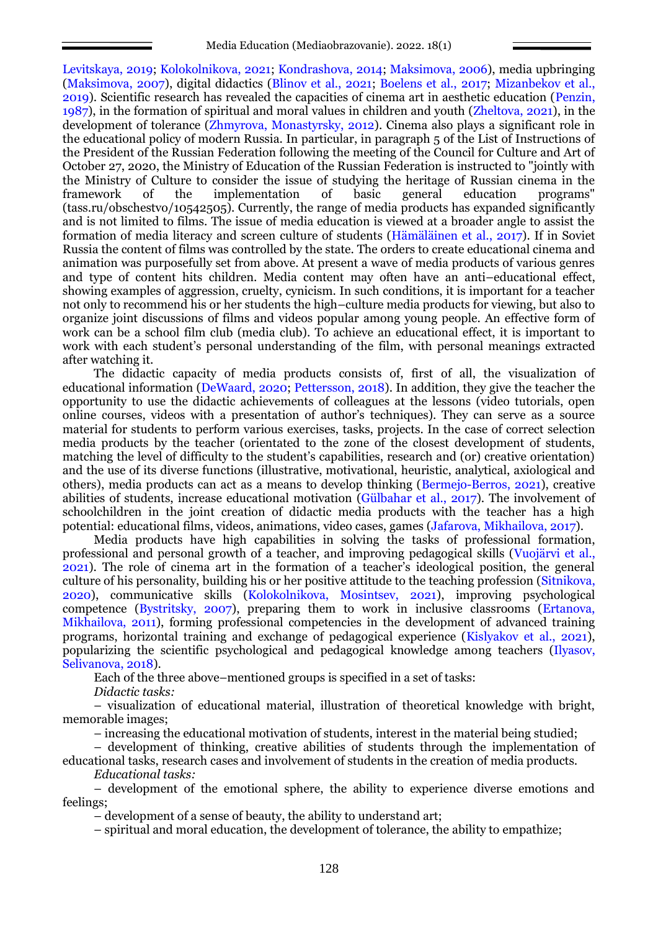Levitskaya, 2019; Kolokolnikova, 2021; Kondrashova, 2014; Maksimova, 2006), media upbringing (Maksimova, 2007), digital didactics (Blinov et al., 2021; Boelens et al., 2017; Mizanbekov et al., 2019). Scientific research has revealed the capacities of cinema art in aesthetic education (Penzin, 1987), in the formation of spiritual and moral values in children and youth (Zheltova, 2021), in the development of tolerance (Zhmyrova, Monastyrsky, 2012). Cinema also plays a significant role in the educational policy of modern Russia. In particular, in paragraph 5 of the List of Instructions of the President of the Russian Federation following the meeting of the Council for Culture and Art of October 27, 2020, the Ministry of Education of the Russian Federation is instructed to "jointly with the Ministry of Culture to consider the issue of studying the heritage of Russian cinema in the framework of the implementation of basic general education programs" (tass.ru/obschestvo/10542505). Currently, the range of media products has expanded significantly and is not limited to films. The issue of media education is viewed at a broader angle to assist the formation of media literacy and screen culture of students (Hämäläinen et al., 2017). If in Soviet Russia the content of films was controlled by the state. The orders to create educational cinema and animation was purposefully set from above. At present a wave of media products of various genres and type of content hits children. Media content may often have an anti–educational effect, showing examples of aggression, cruelty, cynicism. In such conditions, it is important for a teacher not only to recommend his or her students the high–culture media products for viewing, but also to organize joint discussions of films and videos popular among young people. An effective form of work can be a school film club (media club). To achieve an educational effect, it is important to work with each student's personal understanding of the film, with personal meanings extracted after watching it.

The didactic capacity of media products consists of, first of all, the visualization of educational information (DeWaard, 2020; Pettersson, 2018). In addition, they give the teacher the opportunity to use the didactic achievements of colleagues at the lessons (video tutorials, open online courses, videos with a presentation of author's techniques). They can serve as a source material for students to perform various exercises, tasks, projects. In the case of correct selection media products by the teacher (orientated to the zone of the closest development of students, matching the level of difficulty to the student's capabilities, research and (or) creative orientation) and the use of its diverse functions (illustrative, motivational, heuristic, analytical, axiological and others), media products can act as a means to develop thinking (Bermejo-Berros, 2021), creative abilities of students, increase educational motivation (Gülbahar et al., 2017). The involvement of schoolchildren in the joint creation of didactic media products with the teacher has a high potential: educational films, videos, animations, video cases, games (Jafarova, Mikhailova, 2017).

Media products have high capabilities in solving the tasks of professional formation, professional and personal growth of a teacher, and improving pedagogical skills (Vuojärvi et al., 2021). The role of cinema art in the formation of a teacher's ideological position, the general culture of his personality, building his or her positive attitude to the teaching profession (Sitnikova, 2020), communicative skills (Kolokolnikova, Mosintsev, 2021), improving psychological competence (Bystritsky, 2007), preparing them to work in inclusive classrooms (Ertanova, Mikhailova, 2011), forming professional competencies in the development of advanced training programs, horizontal training and exchange of pedagogical experience (Kislyakov et al., 2021), popularizing the scientific psychological and pedagogical knowledge among teachers (Ilyasov, Selivanova, 2018).

Each of the three above–mentioned groups is specified in a set of tasks:

*Didactic tasks:*

– visualization of educational material, illustration of theoretical knowledge with bright, memorable images;

– increasing the educational motivation of students, interest in the material being studied;

– development of thinking, creative abilities of students through the implementation of educational tasks, research cases and involvement of students in the creation of media products.

*Educational tasks:*

– development of the emotional sphere, the ability to experience diverse emotions and feelings;

– development of a sense of beauty, the ability to understand art;

– spiritual and moral education, the development of tolerance, the ability to empathize;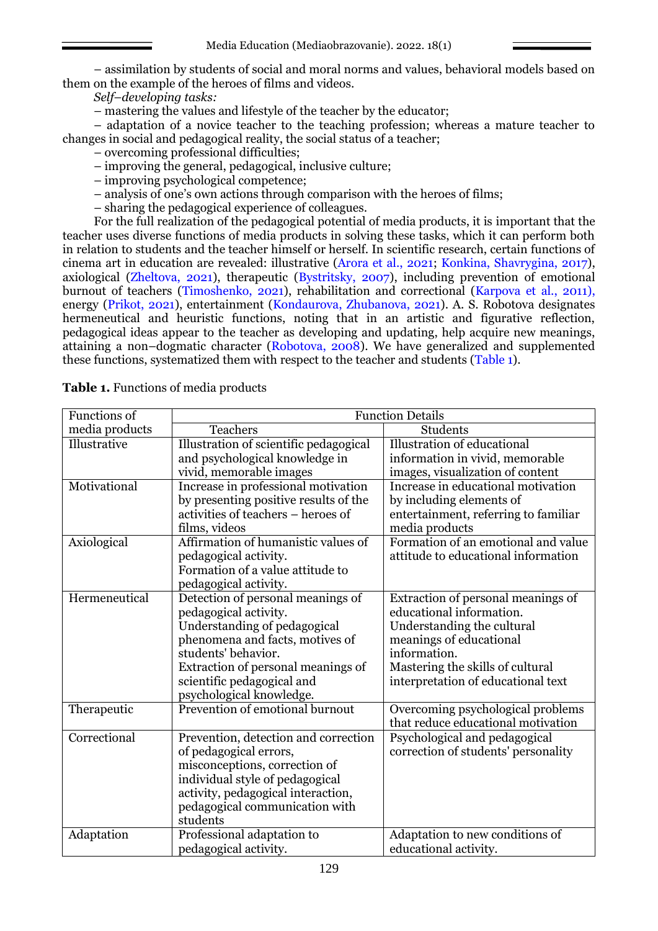– assimilation by students of social and moral norms and values, behavioral models based on them on the example of the heroes of films and videos.

*Self–developing tasks:*

– mastering the values and lifestyle of the teacher by the educator;

– adaptation of a novice teacher to the teaching profession; whereas a mature teacher to changes in social and pedagogical reality, the social status of a teacher;

- overcoming professional difficulties;
- improving the general, pedagogical, inclusive culture;
- improving psychological competence;
- analysis of one's own actions through comparison with the heroes of films;

– sharing the pedagogical experience of colleagues.

For the full realization of the pedagogical potential of media products, it is important that the teacher uses diverse functions of media products in solving these tasks, which it can perform both in relation to students and the teacher himself or herself. In scientific research, certain functions of cinema art in education are revealed: illustrative (Arora et al., 2021; Konkina, Shavrygina, 2017), axiological (Zheltova, 2021), therapeutic (Bystritsky, 2007), including prevention of emotional burnout of teachers (Timoshenko, 2021), rehabilitation and correctional (Karpova et al., 2011), energy (Prikot, 2021), entertainment (Kondaurova, Zhubanova, 2021). A. S. Robotova designates hermeneutical and heuristic functions, noting that in an artistic and figurative reflection, pedagogical ideas appear to the teacher as developing and updating, help acquire new meanings, attaining a non–dogmatic character (Robotova, 2008). We have generalized and supplemented these functions, systematized them with respect to the teacher and students (Table 1).

| Functions of   | <b>Function Details</b>                |                                      |
|----------------|----------------------------------------|--------------------------------------|
| media products | <b>Teachers</b>                        | <b>Students</b>                      |
| Illustrative   | Illustration of scientific pedagogical | Illustration of educational          |
|                | and psychological knowledge in         | information in vivid, memorable      |
|                | vivid, memorable images                | images, visualization of content     |
| Motivational   | Increase in professional motivation    | Increase in educational motivation   |
|                | by presenting positive results of the  | by including elements of             |
|                | activities of teachers – heroes of     | entertainment, referring to familiar |
|                | films, videos                          | media products                       |
| Axiological    | Affirmation of humanistic values of    | Formation of an emotional and value  |
|                | pedagogical activity.                  | attitude to educational information  |
|                | Formation of a value attitude to       |                                      |
|                | pedagogical activity.                  |                                      |
| Hermeneutical  | Detection of personal meanings of      | Extraction of personal meanings of   |
|                | pedagogical activity.                  | educational information.             |
|                | Understanding of pedagogical           | Understanding the cultural           |
|                | phenomena and facts, motives of        | meanings of educational              |
|                | students' behavior.                    | information.                         |
|                | Extraction of personal meanings of     | Mastering the skills of cultural     |
|                | scientific pedagogical and             | interpretation of educational text   |
|                | psychological knowledge.               |                                      |
| Therapeutic    | Prevention of emotional burnout        | Overcoming psychological problems    |
|                |                                        | that reduce educational motivation   |
| Correctional   | Prevention, detection and correction   | Psychological and pedagogical        |
|                | of pedagogical errors,                 | correction of students' personality  |
|                | misconceptions, correction of          |                                      |
|                | individual style of pedagogical        |                                      |
|                | activity, pedagogical interaction,     |                                      |
|                | pedagogical communication with         |                                      |
|                | students                               |                                      |
| Adaptation     | Professional adaptation to             | Adaptation to new conditions of      |
|                | pedagogical activity.                  | educational activity.                |

**Table 1.** Functions of media products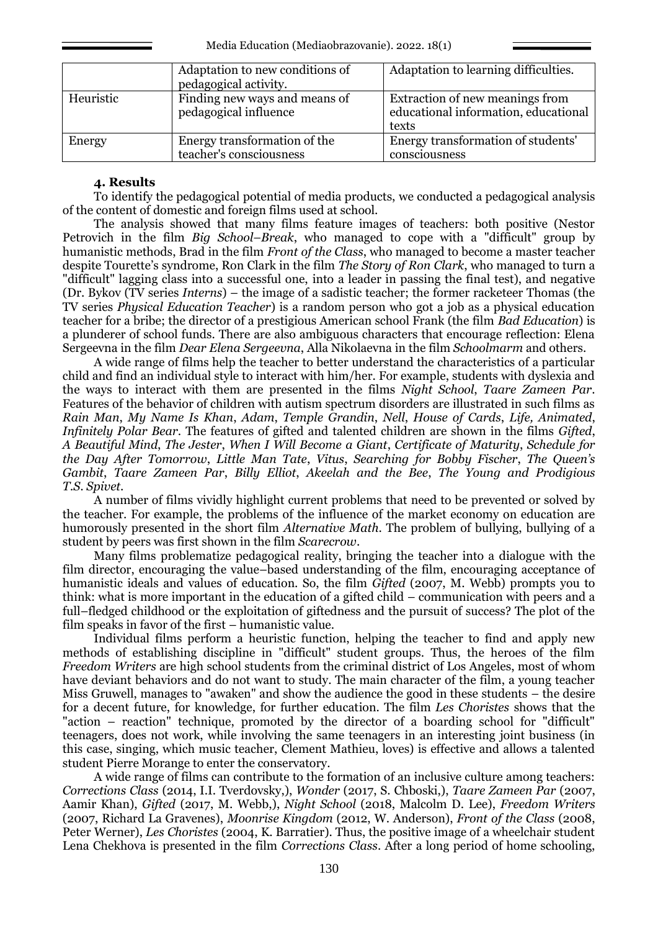|           | Adaptation to new conditions of<br>pedagogical activity. | Adaptation to learning difficulties.                                             |
|-----------|----------------------------------------------------------|----------------------------------------------------------------------------------|
| Heuristic | Finding new ways and means of<br>pedagogical influence   | Extraction of new meanings from<br>educational information, educational<br>texts |
| Energy    | Energy transformation of the<br>teacher's consciousness  | Energy transformation of students'<br>consciousness                              |

## **4. Results**

To identify the pedagogical potential of media products, we conducted a pedagogical analysis of the content of domestic and foreign films used at school.

The analysis showed that many films feature images of teachers: both positive (Nestor Petrovich in the film *Big School–Break*, who managed to cope with a "difficult" group by humanistic methods, Brad in the film *Front of the Class*, who managed to become a master teacher despite Tourette's syndrome, Ron Clark in the film *The Story of Ron Clark*, who managed to turn a "difficult" lagging class into a successful one, into a leader in passing the final test), and negative (Dr. Bykov (TV series *Interns*) – the image of a sadistic teacher; the former racketeer Thomas (the TV series *Physical Education Teacher*) is a random person who got a job as a physical education teacher for a bribe; the director of a prestigious American school Frank (the film *Bad Education*) is a plunderer of school funds. There are also ambiguous characters that encourage reflection: Elena Sergeevna in the film *Dear Elena Sergeevna*, Alla Nikolaevna in the film *Schoolmarm* and others.

A wide range of films help the teacher to better understand the characteristics of a particular child and find an individual style to interact with him/her. For example, students with dyslexia and the ways to interact with them are presented in the films *Night School*, *Taare Zameen Par*. Features of the behavior of children with autism spectrum disorders are illustrated in such films as *Rain Man*, *My Name Is Khan*, *Adam*, *Temple Grandin*, *Nell*, *House of Cards*, *Life, Animated*, *Infinitely Polar Bear*. The features of gifted and talented children are shown in the films *Gifted*, *A Beautiful Mind*, *The Jester*, *When I Will Become a Giant*, *Certificate of Maturity*, *Schedule for the Day After Tomorrow*, *Little Man Tate*, *Vitus*, *Searching for Bobby Fischer*, *The Queen's Gambit*, *Taare Zameen Par*, *Billy Elliot*, *Akeelah and the Bee*, *The Young and Prodigious T.S. Spivet*.

A number of films vividly highlight current problems that need to be prevented or solved by the teacher. For example, the problems of the influence of the market economy on education are humorously presented in the short film *Alternative Math*. The problem of bullying, bullying of a student by peers was first shown in the film *Scarecrow*.

Many films problematize pedagogical reality, bringing the teacher into a dialogue with the film director, encouraging the value–based understanding of the film, encouraging acceptance of humanistic ideals and values of education. So, the film *Gifted* (2007, M. Webb) prompts you to think: what is more important in the education of a gifted child – communication with peers and a full–fledged childhood or the exploitation of giftedness and the pursuit of success? The plot of the film speaks in favor of the first – humanistic value.

Individual films perform a heuristic function, helping the teacher to find and apply new methods of establishing discipline in "difficult" student groups. Thus, the heroes of the film *Freedom Writers* are high school students from the criminal district of Los Angeles, most of whom have deviant behaviors and do not want to study. The main character of the film, a young teacher Miss Gruwell, manages to "awaken" and show the audience the good in these students – the desire for a decent future, for knowledge, for further education. The film *Les Choristes* shows that the "action – reaction" technique, promoted by the director of a boarding school for "difficult" teenagers, does not work, while involving the same teenagers in an interesting joint business (in this case, singing, which music teacher, Clement Mathieu, loves) is effective and allows a talented student Pierre Morange to enter the conservatory.

A wide range of films can contribute to the formation of an inclusive culture among teachers: *Corrections Class* (2014, I.I. Tverdovsky,), *Wonder* (2017, S. Chboski,), *Taare Zameen Par* (2007, Aamir Khan), *Gifted* (2017, M. Webb,), *Night School* (2018, Malcolm D. Lee), *Freedom Writers* (2007, Richard La Gravenes), *Moonrise Kingdom* (2012, W. Anderson), *Front of the Class* (2008, Peter Werner), *Les Choristes* (2004, K. Barratier). Thus, the positive image of a wheelchair student Lena Chekhova is presented in the film *Corrections Class*. After a long period of home schooling,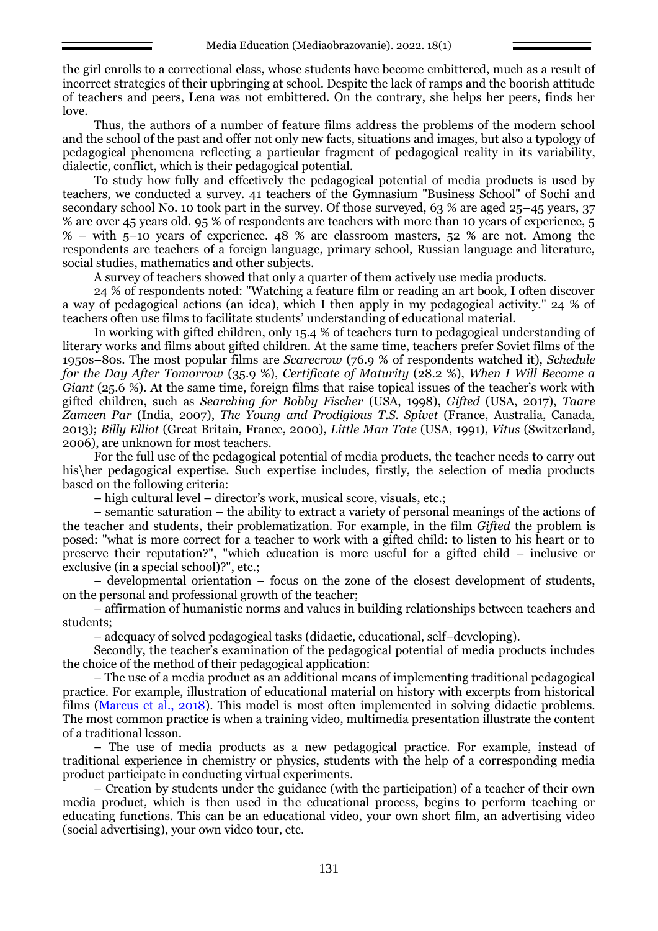the girl enrolls to a correctional class, whose students have become embittered, much as a result of incorrect strategies of their upbringing at school. Despite the lack of ramps and the boorish attitude of teachers and peers, Lena was not embittered. On the contrary, she helps her peers, finds her love.

Thus, the authors of a number of feature films address the problems of the modern school and the school of the past and offer not only new facts, situations and images, but also a typology of pedagogical phenomena reflecting a particular fragment of pedagogical reality in its variability, dialectic, conflict, which is their pedagogical potential.

To study how fully and effectively the pedagogical potential of media products is used by teachers, we conducted a survey. 41 teachers of the Gymnasium "Business School" of Sochi and secondary school No. 10 took part in the survey. Of those surveyed, 63 % are aged 25–45 years, 37 % are over 45 years old. 95 % of respondents are teachers with more than 10 years of experience, 5 % – with 5–10 years of experience. 48 % are classroom masters, 52 % are not. Among the respondents are teachers of a foreign language, primary school, Russian language and literature, social studies, mathematics and other subjects.

A survey of teachers showed that only a quarter of them actively use media products.

24 % of respondents noted: "Watching a feature film or reading an art book, I often discover a way of pedagogical actions (an idea), which I then apply in my pedagogical activity." 24 % of teachers often use films to facilitate students' understanding of educational material.

In working with gifted children, only 15.4 % of teachers turn to pedagogical understanding of literary works and films about gifted children. At the same time, teachers prefer Soviet films of the 1950s–80s. The most popular films are *Scarecrow* (76.9 % of respondents watched it), *Schedule for the Day After Tomorrow* (35.9 %), *Certificate of Maturity* (28.2 %), *When I Will Become a Giant* (25.6 %). At the same time, foreign films that raise topical issues of the teacher's work with gifted children, such as *Searching for Bobby Fischer* (USA, 1998), *Gifted* (USA, 2017), *Taare Zameen Par* (India, 2007), *The Young and Prodigious T.S. Spivet* (France, Australia, Canada, 2013); *Billy Elliot* (Great Britain, France, 2000), *Little Man Tate* (USA, 1991), *Vitus* (Switzerland, 2006), are unknown for most teachers.

For the full use of the pedagogical potential of media products, the teacher needs to carry out his\her pedagogical expertise. Such expertise includes, firstly, the selection of media products based on the following criteria:

– high cultural level – director's work, musical score, visuals, etc.;

– semantic saturation – the ability to extract a variety of personal meanings of the actions of the teacher and students, their problematization. For example, in the film *Gifted* the problem is posed: "what is more correct for a teacher to work with a gifted child: to listen to his heart or to preserve their reputation?", "which education is more useful for a gifted child – inclusive or exclusive (in a special school)?", etc.;

– developmental orientation – focus on the zone of the closest development of students, on the personal and professional growth of the teacher;

– affirmation of humanistic norms and values in building relationships between teachers and students;

– adequacy of solved pedagogical tasks (didactic, educational, self–developing).

Secondly, the teacher's examination of the pedagogical potential of media products includes the choice of the method of their pedagogical application:

– The use of a media product as an additional means of implementing traditional pedagogical practice. For example, illustration of educational material on history with excerpts from historical films (Marcus et al., 2018). This model is most often implemented in solving didactic problems. The most common practice is when a training video, multimedia presentation illustrate the content of a traditional lesson.

– The use of media products as a new pedagogical practice. For example, instead of traditional experience in chemistry or physics, students with the help of a corresponding media product participate in conducting virtual experiments.

– Creation by students under the guidance (with the participation) of a teacher of their own media product, which is then used in the educational process, begins to perform teaching or educating functions. This can be an educational video, your own short film, an advertising video (social advertising), your own video tour, etc.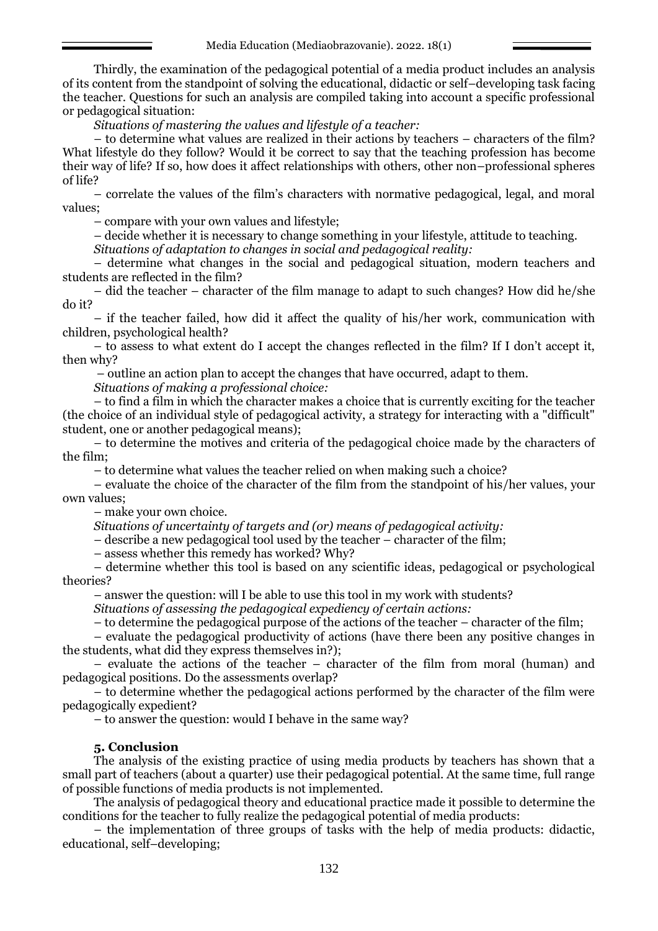Thirdly, the examination of the pedagogical potential of a media product includes an analysis of its content from the standpoint of solving the educational, didactic or self–developing task facing the teacher. Questions for such an analysis are compiled taking into account a specific professional or pedagogical situation:

*Situations of mastering the values and lifestyle of a teacher:*

– to determine what values are realized in their actions by teachers – characters of the film? What lifestyle do they follow? Would it be correct to say that the teaching profession has become their way of life? If so, how does it affect relationships with others, other non–professional spheres of life?

– correlate the values of the film's characters with normative pedagogical, legal, and moral values;

– compare with your own values and lifestyle;

– decide whether it is necessary to change something in your lifestyle, attitude to teaching.

*Situations of adaptation to changes in social and pedagogical reality:*

– determine what changes in the social and pedagogical situation, modern teachers and students are reflected in the film?

– did the teacher – character of the film manage to adapt to such changes? How did he/she do it?

– if the teacher failed, how did it affect the quality of his/her work, communication with children, psychological health?

– to assess to what extent do I accept the changes reflected in the film? If I don't accept it, then why?

– outline an action plan to accept the changes that have occurred, adapt to them.

*Situations of making a professional choice:*

– to find a film in which the character makes a choice that is currently exciting for the teacher (the choice of an individual style of pedagogical activity, a strategy for interacting with a "difficult" student, one or another pedagogical means);

– to determine the motives and criteria of the pedagogical choice made by the characters of the film;

– to determine what values the teacher relied on when making such a choice?

– evaluate the choice of the character of the film from the standpoint of his/her values, your own values;

– make your own choice.

*Situations of uncertainty of targets and (or) means of pedagogical activity:*

– describe a new pedagogical tool used by the teacher – character of the film;

– assess whether this remedy has worked? Why?

– determine whether this tool is based on any scientific ideas, pedagogical or psychological theories?

– answer the question: will I be able to use this tool in my work with students?

*Situations of assessing the pedagogical expediency of certain actions:*

– to determine the pedagogical purpose of the actions of the teacher – character of the film;

– evaluate the pedagogical productivity of actions (have there been any positive changes in the students, what did they express themselves in?);

– evaluate the actions of the teacher – character of the film from moral (human) and pedagogical positions. Do the assessments overlap?

– to determine whether the pedagogical actions performed by the character of the film were pedagogically expedient?

– to answer the question: would I behave in the same way?

## **5. Conclusion**

The analysis of the existing practice of using media products by teachers has shown that a small part of teachers (about a quarter) use their pedagogical potential. At the same time, full range of possible functions of media products is not implemented.

The analysis of pedagogical theory and educational practice made it possible to determine the conditions for the teacher to fully realize the pedagogical potential of media products:

– the implementation of three groups of tasks with the help of media products: didactic, educational, self–developing;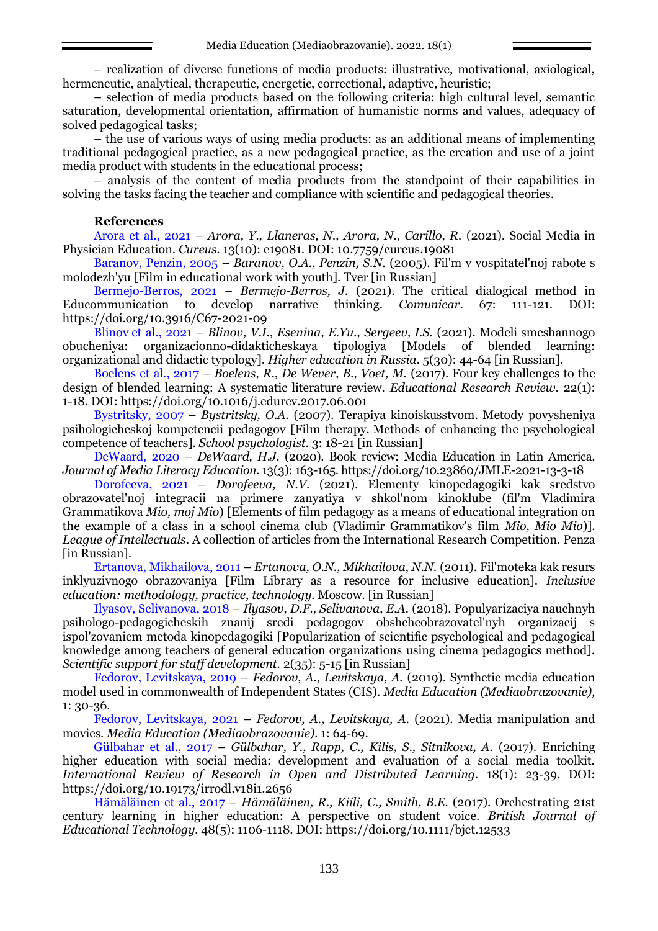– realization of diverse functions of media products: illustrative, motivational, axiological, hermeneutic, analytical, therapeutic, energetic, correctional, adaptive, heuristic;

– selection of media products based on the following criteria: high cultural level, semantic saturation, developmental orientation, affirmation of humanistic norms and values, adequacy of solved pedagogical tasks;

– the use of various ways of using media products: as an additional means of implementing traditional pedagogical practice, as a new pedagogical practice, as the creation and use of a joint media product with students in the educational process;

– analysis of the content of media products from the standpoint of their capabilities in solving the tasks facing the teacher and compliance with scientific and pedagogical theories.

### **References**

Arora et al., 2021 – *Arora, Y., Llaneras, N., Arora, N., Carillo, R.* (2021). Social Media in Physician Education. *Cureus.* 13(10): e19081. DOI: 10.7759/cureus.19081

Baranov, Penzin, 2005 – *Baranov, O.A., Penzin, S.N.* (2005). Fil'm v vospitatel'noj rabote s molodezh'yu [Film in educational work with youth]. Tver [in Russian]

Bermejo-Berros, 2021 – *Bermejo-Berros, J.* (2021). The critical dialogical method in Educommunication to develop narrative thinking. *Comunicar*. 67: 111-121. DOI: https://doi.org/10.3916/C67-2021-09

Blinov et al., 2021 – *Blinov, V.I., Esenina, E.Yu., Sergeev, I.S.* (2021). Modeli smeshannogo obucheniya: organizacionno-didakticheskaya tipologiya [Models of blended learning: organizational and didactic typology]. *Higher education in Russia.* 5(30): 44-64 [in Russian].

Boelens et al., 2017 – *Boelens, R., De Wever, B., Voet, M.* (2017). Four key challenges to the design of blended learning: A systematic literature review. *Educational Research Review.* 22(1): 1-18. DOI: https://doi.org/10.1016/j.edurev.2017.06.001

Bystritsky, 2007 – *Bystritsky, O.A.* (2007). Terapiya kinoiskusstvom. Metody povysheniya psihologicheskoj kompetencii pedagogov [Film therapy. Methods of enhancing the psychological competence of teachers]. *School psychologist.* 3: 18-21 [in Russian]

DeWaard, 2020 – *DeWaard, H.J.* (2020). Book review: Media Education in Latin America. *Journal of Media Literacy Education.* 13(3): 163-165. https://doi.org/10.23860/JMLE-2021-13-3-18

Dorofeeva, 2021 *– Dorofeeva, N.V*. (2021). Elementy kinopedagogiki kak sredstvo obrazovatel'noj integracii na primere zanyatiya v shkol'nom kinoklube (fil'm Vladimira Grammatikova *Mio, moj Mio*) [Elements of film pedagogy as a means of educational integration on the example of a class in a school cinema club (Vladimir Grammatikov's film *Mio, Mio Mio*)]. *League of Intellectuals*. A collection of articles from the International Research Competition. Penza [in Russian].

Ertanova, Mikhailova, 2011 – *Ertanova, O.N., Mikhailova, N.N.* (2011). Fil'moteka kak resurs inklyuzivnogo obrazovaniya [Film Library as a resource for inclusive education]. *Inclusive education: methodology, practice, technology.* Moscow. [in Russian]

Ilyasov, Selivanova, 2018 – *Ilyasov, D.F., Selivanova, E.A.* (2018). Populyarizaciya nauchnyh psihologo-pedagogicheskih znanij sredi pedagogov obshcheobrazovatel'nyh organizacij s ispol'zovaniem metoda kinopedagogiki [Popularization of scientific psychological and pedagogical knowledge among teachers of general education organizations using cinema pedagogics method]. *Scientific support for staff development.* 2(35): 5-15 [in Russian]

Fedorov, Levitskaya, 2019 – *Fedorov, A., Levitskaya, A.* (2019). Synthetic media education model used in commonwealth of Independent States (CIS). *Media Education (Mediaobrazovanie),* 1: 30-36.

Fedorov, Levitskaya, 2021 – *Fedorov, A., Levitskaya, A.* (2021). Media manipulation and movies. *Media Education (Mediaobrazovanie).* 1: 64-69.

Gülbahar et al., 2017 – *Gülbahar, Y., Rapp, C., Kilis, S., Sitnikova, A.* (2017). Enriching higher education with social media: development and evaluation of a social media toolkit. *International Review of Research in Open and Distributed Learning.* 18(1): 23-39. DOI: https://doi.org/10.19173/irrodl.v18i1.2656

Hämäläinen et al., 2017 – *Hämäläinen, R., Kiili, C., Smith, B.E.* (2017). Orchestrating 21st century learning in higher education: A perspective on student voice. *British Journal of Educational Technology.* 48(5): 1106-1118. DOI: https://doi.org/10.1111/bjet.12533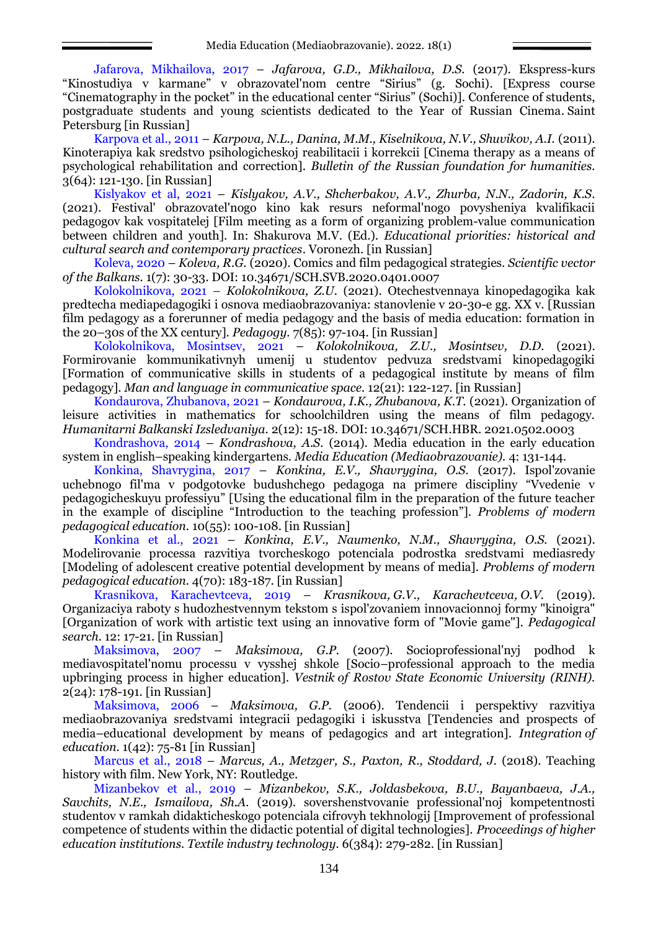Jafarova, Mikhailova, 2017 – *Jafarova, G.D., Mikhailova, D.S.* (2017). Ekspress-kurs "Kinostudiya v karmane" v obrazovatel'nom centre "Sirius" (g. Sochi). [Express course "Cinematography in the pocket" in the educational center "Sirius" (Sochi)]. Conference of students, postgraduate students and young scientists dedicated to the Year of Russian Cinema. Saint Petersburg [in Russian]

Karpova et al., 2011 – *Karpova, N.L., Danina, M.M., Kiselnikova, N.V., Shuvikov, A.I.* (2011). Kinoterapiya kak sredstvo psihologicheskoj reabilitacii i korrekcii [Cinema therapy as a means of psychological rehabilitation and correction]. *Bulletin of the Russian foundation for humanities.* 3(64): 121-130. [in Russian]

Kislyakov et al, 2021 – *Kislyakov, A.V., Shcherbakov, A.V., Zhurba, N.N., Zadorin, K.S*. (2021). Festival' obrazovatel'nogo kino kak resurs neformal'nogo povysheniya kvalifikacii pedagogov kak vospitatelej [Film meeting as a form of organizing problem-value communication between children and youth]. In: Shakurova M.V. (Ed.). *Educational priorities: historical and cultural search and contemporary practices*. Voronezh. [in Russian]

Koleva, 2020 – *Koleva, R.G.* (2020). Comics and film pedagogical strategies. *Scientific vector of the Balkans.* 1(7): 30-33. DOI: [10.34671/SCH.SVB.2020.0401.0007](https://doi.org/10.34671/SCH.SVB.2020.0401.0007)

Kolokolnikova, 2021 – *Kolokolnikova, Z.U.* (2021). Otechestvennaya kinopedagogika kak predtecha mediapedagogiki i osnova mediaobrazovaniya: stanovlenie v 20-30-e gg. ХХ v. [Russian film pedagogy as a forerunner of media pedagogy and the basis of media education: formation in the 20–30s of the XX century]. *Pedagogy.* 7(85): 97-104. [in Russian]

Kolokolnikova, Mosintsev, 2021 – *Kolokolnikova, Z.U., Mosintsev, D.D.* (2021). Formirovanie kommunikativnyh umenij u studentov pedvuza sredstvami kinopedagogiki [Formation of communicative skills in students of a pedagogical institute by means of film pedagogy]. *Man and language in communicative space.* 12(21): 122-127. [in Russian]

Kondaurova, Zhubanova, 2021 – *Kondaurova, I.K., Zhubanova, K.T.* (2021). Organization of leisure activities in mathematics for schoolchildren using the means of film pedagogy. *Humanitarni Balkanski Izsledvaniya.* 2(12): 15-18. DOI: 10.34671/SCH.HBR. 2021.0502.0003

Kondrashova, 2014 – *Kondrashova, A.S.* (2014). Media education in the early education system in english–speaking kindergartens. *Media Education (Mediaobrazovanie).* 4: 131-144.

Konkina, Shavrygina, 2017 – *Konkina, E.V., Shavrygina, O.S.* (2017). Ispol'zovanie uchebnogo fil'ma v podgotovke budushchego pedagoga na primere discipliny "Vvedenie v pedagogicheskuyu professiyu" [Using the educational film in the preparation of the future teacher in the example of discipline "Introduction to the teaching profession"]. *Problems of modern pedagogical education.* 10(55): 100-108. [in Russian]

Konkina et al., 2021 – *Konkina, E.V., Naumenko, N.M., Shavrygina, O.S.* (2021). Modelirovanie processa razvitiya tvorcheskogo potenciala podrostka sredstvami mediasredy [Modeling of adolescent creative potential development by means of media]. *Problems of modern pedagogical education.* 4(70): 183-187. [in Russian]

Krasnikova, Karachevtceva, 2019 – *Krasnikova, G.V., Karachevtceva, O.V.* (2019). Organizaciya raboty s hudozhestvennym tekstom s ispol'zovaniem innovacionnoj formy "kinoigra" [Organization of work with artistic text using an innovative form of "Movie game"]. *Pedagogical search.* 12: 17-21. [in Russian]

Maksimova, 2007 – *Maksimova, G.P.* (2007). Socioprofessional'nyj podhod k mediavospitatel'nomu processu v vysshej shkole [Socio–professional approach to the media upbringing process in higher education]. *Vestnik of Rostov State Economic University (RINH).* 2(24): 178-191. [in Russian]

Maksimova, 2006 – *Maksimova, G.P.* (2006). Tendencii i perspektivy razvitiya mediaobrazovaniya sredstvami integracii pedagogiki i iskusstva [Tendencies and prospects of media–educational development by means of pedagogics and art integration]. *Integration of education.* 1(42): 75-81 [in Russian]

Marcus et al., 2018 – *Marcus, A., Metzger, S., Paxton, R., Stoddard, J.* (2018). Teaching history with film. New York, NY: Routledge.

Mizanbekov et al., 2019 – *Mizanbekov, S.K., Joldasbekova, B.U., Bayanbaeva, J.A., Savchits, N.E., Ismailova, Sh.A.* (2019). sovershenstvovanie professional'noj kompetentnosti studentov v ramkah didakticheskogo potenciala cifrovyh tekhnologij [Improvement of professional competence of students within the didactic potential of digital technologies]. *Proceedings of higher education institutions. Textile industry technology.* 6(384): 279-282. [in Russian]